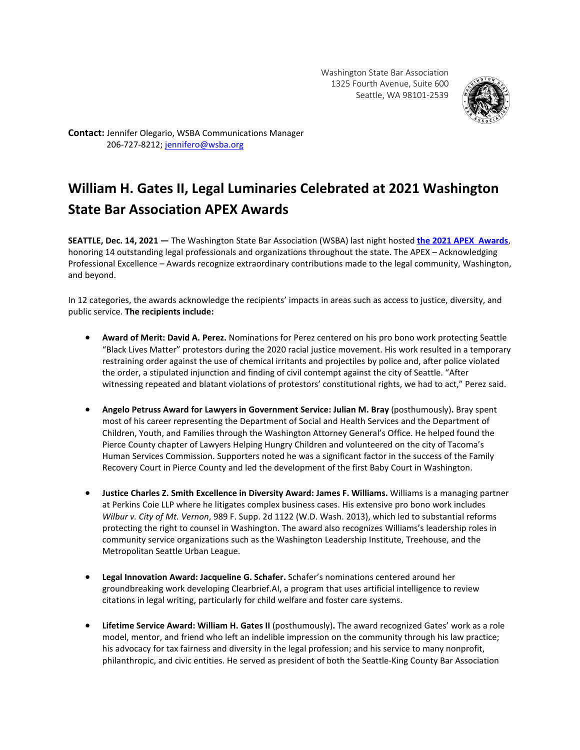

**Contact:** Jennifer Olegario, WSBA Communications Manager 206-727-8212; [jennifero@wsba.org](mailto:jennifero@wsba.org)

## **William H. Gates II, Legal Luminaries Celebrated at 2021 Washington State Bar Association APEX Awards**

**SEATTLE, Dec. 14, 2021 —** The Washington State Bar Association (WSBA) last night hosted **[the 2021 APEX Awards](https://www.wsba.org/news-events/apex-awards)**, honoring 14 outstanding legal professionals and organizations throughout the state. The APEX – Acknowledging Professional Excellence – Awards recognize extraordinary contributions made to the legal community, Washington, and beyond.

In 12 categories, the awards acknowledge the recipients' impacts in areas such as access to justice, diversity, and public service. **The recipients include:**

- **Award of Merit: David A. Perez.** Nominations for Perez centered on his pro bono work protecting Seattle "Black Lives Matter" protestors during the 2020 racial justice movement. His work resulted in a temporary restraining order against the use of chemical irritants and projectiles by police and, after police violated the order, a stipulated injunction and finding of civil contempt against the city of Seattle. "After witnessing repeated and blatant violations of protestors' constitutional rights, we had to act," Perez said.
- **Angelo Petruss Award for Lawyers in Government Service: Julian M. Bray** (posthumously)**.** Bray spent most of his career representing the Department of Social and Health Services and the Department of Children, Youth, and Families through the Washington Attorney General's Office. He helped found the Pierce County chapter of Lawyers Helping Hungry Children and volunteered on the city of Tacoma's Human Services Commission. Supporters noted he was a significant factor in the success of the Family Recovery Court in Pierce County and led the development of the first Baby Court in Washington.
- **Justice Charles Z. Smith Excellence in Diversity Award: James F. Williams.** Williams is a managing partner at Perkins Coie LLP where he litigates complex business cases. His extensive pro bono work includes *Wilbur v. City of Mt. Vernon*, 989 F. Supp. 2d 1122 (W.D. Wash. 2013), which led to substantial reforms protecting the right to counsel in Washington. The award also recognizes Williams's leadership roles in community service organizations such as the Washington Leadership Institute, Treehouse, and the Metropolitan Seattle Urban League.
- **Legal Innovation Award: Jacqueline G. Schafer.** Schafer's nominations centered around her groundbreaking work developing Clearbrief.AI, a program that uses artificial intelligence to review citations in legal writing, particularly for child welfare and foster care systems.
- **Lifetime Service Award: William H. Gates II** (posthumously)**.** The award recognized Gates' work as a role model, mentor, and friend who left an indelible impression on the community through his law practice; his advocacy for tax fairness and diversity in the legal profession; and his service to many nonprofit, philanthropic, and civic entities. He served as president of both the Seattle-King County Bar Association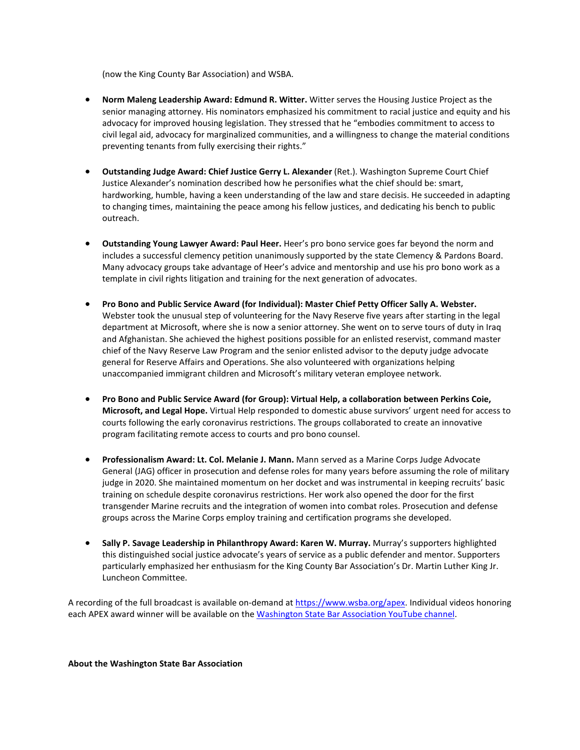(now the King County Bar Association) and WSBA.

- **Norm Maleng Leadership Award: Edmund R. Witter.** Witter serves the Housing Justice Project as the senior managing attorney. His nominators emphasized his commitment to racial justice and equity and his advocacy for improved housing legislation. They stressed that he "embodies commitment to access to civil legal aid, advocacy for marginalized communities, and a willingness to change the material conditions preventing tenants from fully exercising their rights."
- **Outstanding Judge Award: Chief Justice Gerry L. Alexander** (Ret.). Washington Supreme Court Chief Justice Alexander's nomination described how he personifies what the chief should be: smart, hardworking, humble, having a keen understanding of the law and stare decisis. He succeeded in adapting to changing times, maintaining the peace among his fellow justices, and dedicating his bench to public outreach.
- **Outstanding Young Lawyer Award: Paul Heer.** Heer's pro bono service goes far beyond the norm and includes a successful clemency petition unanimously supported by the state Clemency & Pardons Board. Many advocacy groups take advantage of Heer's advice and mentorship and use his pro bono work as a template in civil rights litigation and training for the next generation of advocates.
- **Pro Bono and Public Service Award (for Individual): Master Chief Petty Officer Sally A. Webster.** Webster took the unusual step of volunteering for the Navy Reserve five years after starting in the legal department at Microsoft, where she is now a senior attorney. She went on to serve tours of duty in Iraq and Afghanistan. She achieved the highest positions possible for an enlisted reservist, command master chief of the Navy Reserve Law Program and the senior enlisted advisor to the deputy judge advocate general for Reserve Affairs and Operations. She also volunteered with organizations helping unaccompanied immigrant children and Microsoft's military veteran employee network.
- **Pro Bono and Public Service Award (for Group): Virtual Help, a collaboration between Perkins Coie, Microsoft, and Legal Hope.** Virtual Help responded to domestic abuse survivors' urgent need for access to courts following the early coronavirus restrictions. The groups collaborated to create an innovative program facilitating remote access to courts and pro bono counsel.
- **Professionalism Award: Lt. Col. Melanie J. Mann.** Mann served as a Marine Corps Judge Advocate General (JAG) officer in prosecution and defense roles for many years before assuming the role of military judge in 2020. She maintained momentum on her docket and was instrumental in keeping recruits' basic training on schedule despite coronavirus restrictions. Her work also opened the door for the first transgender Marine recruits and the integration of women into combat roles. Prosecution and defense groups across the Marine Corps employ training and certification programs she developed.
- **Sally P. Savage Leadership in Philanthropy Award: Karen W. Murray.** Murray's supporters highlighted this distinguished social justice advocate's years of service as a public defender and mentor. Supporters particularly emphasized her enthusiasm for the King County Bar Association's Dr. Martin Luther King Jr. Luncheon Committee.

A recording of the full broadcast is available on-demand at [https://www.wsba.org/apex.](https://www.wsba.org/apex) Individual videos honoring each APEX award winner will be available on the [Washington State Bar Association YouTube channel.](https://www.youtube.com/user/WashingtonStateBar)

## **About the Washington State Bar Association**